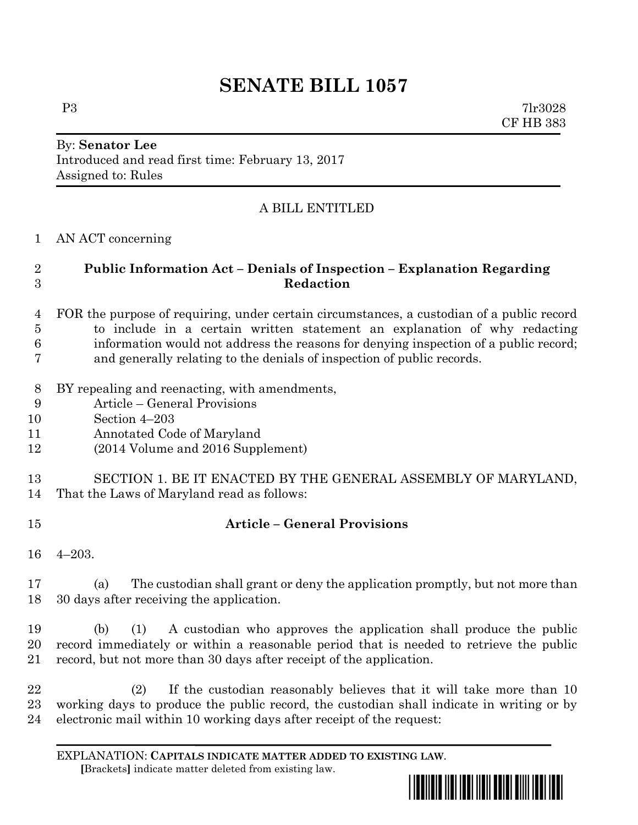# **SENATE BILL 1057**

P3 7lr3028 CF HB 383

#### By: **Senator Lee** Introduced and read first time: February 13, 2017 Assigned to: Rules

## A BILL ENTITLED

AN ACT concerning

## **Public Information Act – Denials of Inspection – Explanation Regarding Redaction**

- FOR the purpose of requiring, under certain circumstances, a custodian of a public record to include in a certain written statement an explanation of why redacting information would not address the reasons for denying inspection of a public record; and generally relating to the denials of inspection of public records.
- BY repealing and reenacting, with amendments,
- Article General Provisions
- Section 4–203
- Annotated Code of Maryland
- (2014 Volume and 2016 Supplement)
- SECTION 1. BE IT ENACTED BY THE GENERAL ASSEMBLY OF MARYLAND, That the Laws of Maryland read as follows:
- 

## **Article – General Provisions**

4–203.

 (a) The custodian shall grant or deny the application promptly, but not more than 30 days after receiving the application.

 (b) (1) A custodian who approves the application shall produce the public record immediately or within a reasonable period that is needed to retrieve the public record, but not more than 30 days after receipt of the application.

 (2) If the custodian reasonably believes that it will take more than 10 working days to produce the public record, the custodian shall indicate in writing or by electronic mail within 10 working days after receipt of the request:

EXPLANATION: **CAPITALS INDICATE MATTER ADDED TO EXISTING LAW**.  **[**Brackets**]** indicate matter deleted from existing law.

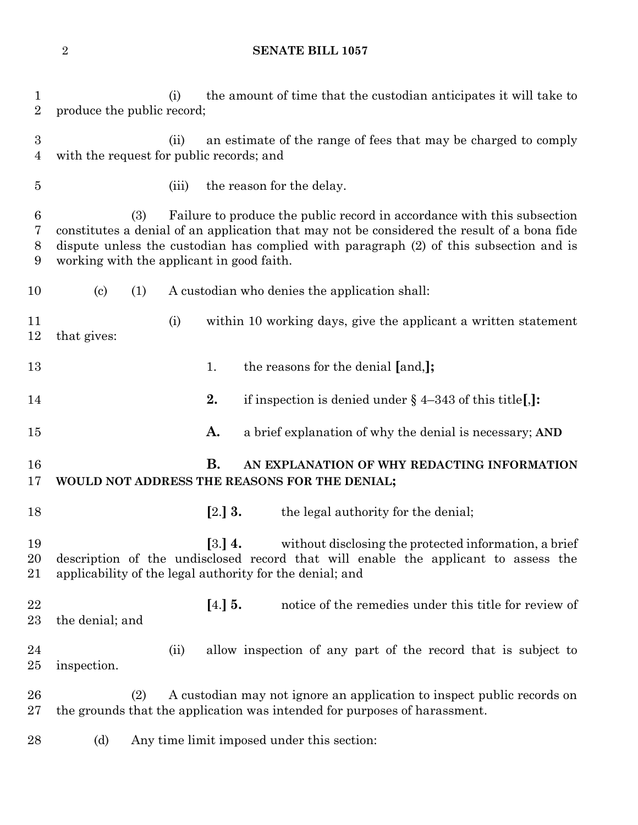#### **SENATE BILL 1057**

 (i) the amount of time that the custodian anticipates it will take to produce the public record; (ii) an estimate of the range of fees that may be charged to comply with the request for public records; and (iii) the reason for the delay. (3) Failure to produce the public record in accordance with this subsection constitutes a denial of an application that may not be considered the result of a bona fide dispute unless the custodian has complied with paragraph (2) of this subsection and is working with the applicant in good faith. (c) (1) A custodian who denies the application shall: (i) within 10 working days, give the applicant a written statement that gives: 13 1. the reasons for the denial [and,]; **2.** if inspection is denied under § 4–343 of this title**[**,**]: A.** a brief explanation of why the denial is necessary; **AND B. AN EXPLANATION OF WHY REDACTING INFORMATION WOULD NOT ADDRESS THE REASONS FOR THE DENIAL; [**2.**] 3.** the legal authority for the denial; **[**3.**] 4.** without disclosing the protected information, a brief description of the undisclosed record that will enable the applicant to assess the applicability of the legal authority for the denial; and **[**4.**] 5.** notice of the remedies under this title for review of the denial; and (ii) allow inspection of any part of the record that is subject to inspection. (2) A custodian may not ignore an application to inspect public records on the grounds that the application was intended for purposes of harassment. (d) Any time limit imposed under this section: